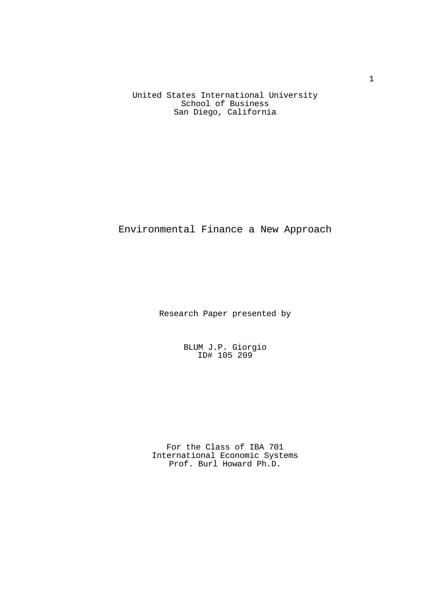United States International University School of Business San Diego, California

# Environmental Finance a New Approach

Research Paper presented by

 BLUM J.P. Giorgio ID# 105 209

> For the Class of IBA 701 International Economic Systems Prof. Burl Howard Ph.D.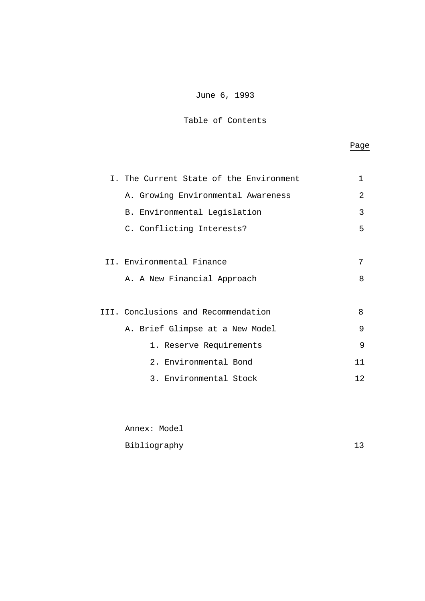## June 6, 1993

## Table of Contents

## **Page** Page 2014 and 2016 and 2016 and 2016 and 2016 and 2016 and 2016 and 2016 and 2016 and 2016 and 2016 and 2016 and 2016 and 2016 and 2016 and 2016 and 2016 and 2016 and 2016 and 2016 and 2016 and 2016 and 2016 and 201

| I. The Current State of the Environment | 1   |
|-----------------------------------------|-----|
| A. Growing Environmental Awareness      | 2   |
| B. Environmental Legislation            | 3   |
| C. Conflicting Interests?               | 5   |
|                                         |     |
| II. Environmental Finance               | 7   |
| A. A New Financial Approach             | 8   |
|                                         |     |
| III. Conclusions and Recommendation     | 8   |
| A. Brief Glimpse at a New Model         | 9   |
| 1. Reserve Requirements                 | 9   |
| 2. Environmental Bond                   | 11  |
| 3. Environmental Stock                  | 12. |
|                                         |     |

| Annex: Model |    |
|--------------|----|
| Bibliography | 13 |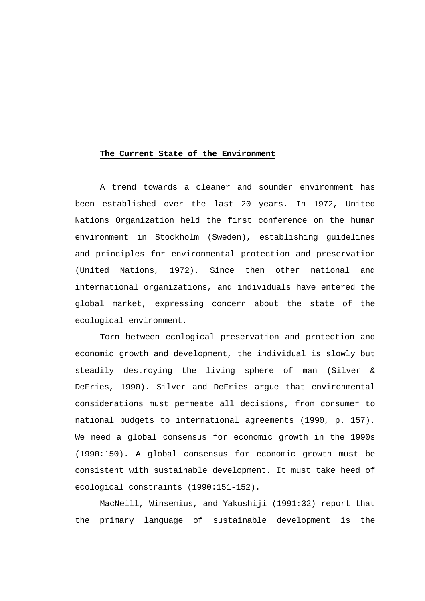#### **The Current State of the Environment**

 A trend towards a cleaner and sounder environment has been established over the last 20 years. In 1972, United Nations Organization held the first conference on the human environment in Stockholm (Sweden), establishing guidelines and principles for environmental protection and preservation (United Nations, 1972). Since then other national and international organizations, and individuals have entered the global market, expressing concern about the state of the ecological environment.

 Torn between ecological preservation and protection and economic growth and development, the individual is slowly but steadily destroying the living sphere of man (Silver & DeFries, 1990). Silver and DeFries argue that environmental considerations must permeate all decisions, from consumer to national budgets to international agreements (1990, p. 157). We need a global consensus for economic growth in the 1990s (1990:150). A global consensus for economic growth must be consistent with sustainable development. It must take heed of ecological constraints (1990:151-152).

 MacNeill, Winsemius, and Yakushiji (1991:32) report that the primary language of sustainable development is the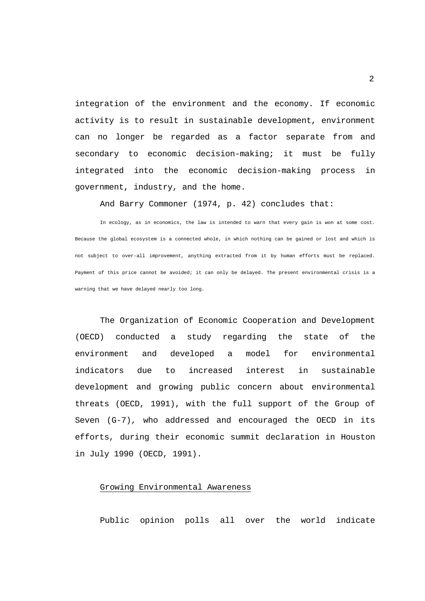integration of the environment and the economy. If economic activity is to result in sustainable development, environment can no longer be regarded as a factor separate from and secondary to economic decision-making; it must be fully integrated into the economic decision-making process in government, industry, and the home.

And Barry Commoner (1974, p. 42) concludes that:

 In ecology, as in economics, the law is intended to warn that every gain is won at some cost. Because the global ecosystem is a connected whole, in which nothing can be gained or lost and which is not subject to over-all improvement, anything extracted from it by human efforts must be replaced. Payment of this price cannot be avoided; it can only be delayed. The present environmental crisis is a warning that we have delayed nearly too long.

 The Organization of Economic Cooperation and Development (OECD) conducted a study regarding the state of the environment and developed a model for environmental indicators due to increased interest in sustainable development and growing public concern about environmental threats (OECD, 1991), with the full support of the Group of Seven (G-7), who addressed and encouraged the OECD in its efforts, during their economic summit declaration in Houston in July 1990 (OECD, 1991).

## Growing Environmental Awareness

Public opinion polls all over the world indicate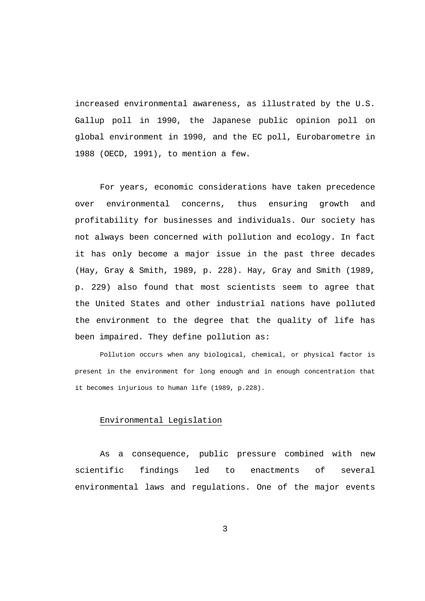increased environmental awareness, as illustrated by the U.S. Gallup poll in 1990, the Japanese public opinion poll on global environment in 1990, and the EC poll, Eurobarometre in 1988 (OECD, 1991), to mention a few.

 For years, economic considerations have taken precedence over environmental concerns, thus ensuring growth and profitability for businesses and individuals. Our society has not always been concerned with pollution and ecology. In fact it has only become a major issue in the past three decades (Hay, Gray & Smith, 1989, p. 228). Hay, Gray and Smith (1989, p. 229) also found that most scientists seem to agree that the United States and other industrial nations have polluted the environment to the degree that the quality of life has been impaired. They define pollution as:

 Pollution occurs when any biological, chemical, or physical factor is present in the environment for long enough and in enough concentration that it becomes injurious to human life (1989, p.228).

## Environmental Legislation

 As a consequence, public pressure combined with new scientific findings led to enactments of several environmental laws and regulations. One of the major events

3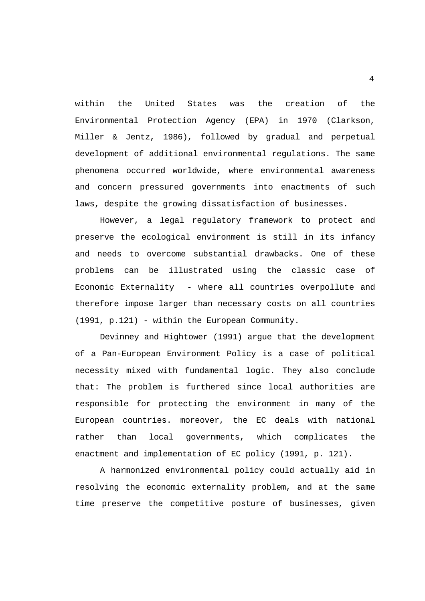within the United States was the creation of the Environmental Protection Agency (EPA) in 1970 (Clarkson, Miller & Jentz, 1986), followed by gradual and perpetual development of additional environmental regulations. The same phenomena occurred worldwide, where environmental awareness and concern pressured governments into enactments of such laws, despite the growing dissatisfaction of businesses.

 However, a legal regulatory framework to protect and preserve the ecological environment is still in its infancy and needs to overcome substantial drawbacks. One of these problems can be illustrated using the classic case of Economic Externality - where all countries overpollute and therefore impose larger than necessary costs on all countries (1991, p.121) - within the European Community.

 Devinney and Hightower (1991) argue that the development of a Pan-European Environment Policy is a case of political necessity mixed with fundamental logic. They also conclude that: The problem is furthered since local authorities are responsible for protecting the environment in many of the European countries. moreover, the EC deals with national rather than local governments, which complicates the enactment and implementation of EC policy (1991, p. 121).

 A harmonized environmental policy could actually aid in resolving the economic externality problem, and at the same time preserve the competitive posture of businesses, given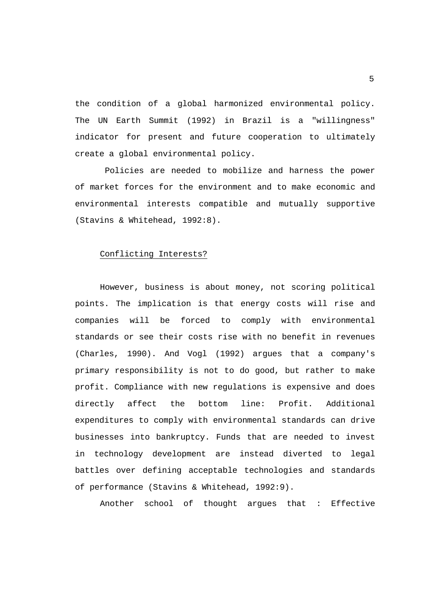the condition of a global harmonized environmental policy. The UN Earth Summit (1992) in Brazil is a "willingness" indicator for present and future cooperation to ultimately create a global environmental policy.

 Policies are needed to mobilize and harness the power of market forces for the environment and to make economic and environmental interests compatible and mutually supportive (Stavins & Whitehead, 1992:8).

### Conflicting Interests?

 However, business is about money, not scoring political points. The implication is that energy costs will rise and companies will be forced to comply with environmental standards or see their costs rise with no benefit in revenues (Charles, 1990). And Vogl (1992) argues that a company's primary responsibility is not to do good, but rather to make profit. Compliance with new regulations is expensive and does directly affect the bottom line: Profit. Additional expenditures to comply with environmental standards can drive businesses into bankruptcy. Funds that are needed to invest in technology development are instead diverted to legal battles over defining acceptable technologies and standards of performance (Stavins & Whitehead, 1992:9).

Another school of thought argues that : Effective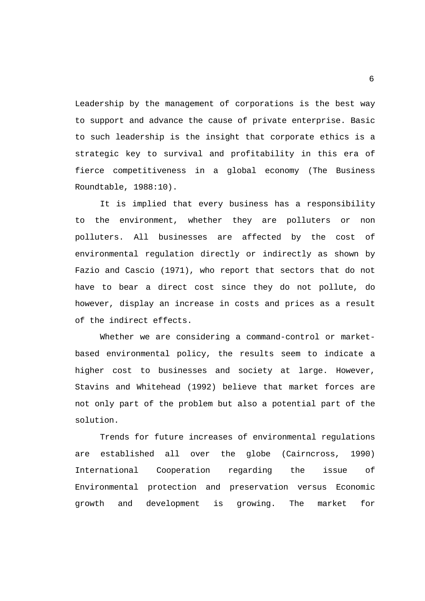Leadership by the management of corporations is the best way to support and advance the cause of private enterprise. Basic to such leadership is the insight that corporate ethics is a strategic key to survival and profitability in this era of fierce competitiveness in a global economy (The Business Roundtable, 1988:10).

 It is implied that every business has a responsibility to the environment, whether they are polluters or non polluters. All businesses are affected by the cost of environmental regulation directly or indirectly as shown by Fazio and Cascio (1971), who report that sectors that do not have to bear a direct cost since they do not pollute, do however, display an increase in costs and prices as a result of the indirect effects.

 Whether we are considering a command-control or marketbased environmental policy, the results seem to indicate a higher cost to businesses and society at large. However, Stavins and Whitehead (1992) believe that market forces are not only part of the problem but also a potential part of the solution.

 Trends for future increases of environmental regulations are established all over the globe (Cairncross, 1990) International Cooperation regarding the issue of Environmental protection and preservation versus Economic growth and development is growing. The market for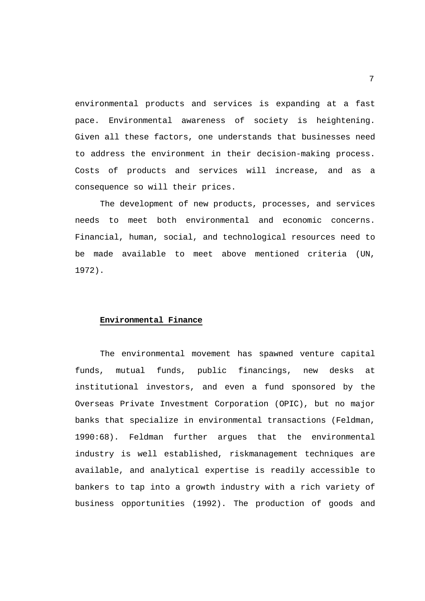environmental products and services is expanding at a fast pace. Environmental awareness of society is heightening. Given all these factors, one understands that businesses need to address the environment in their decision-making process. Costs of products and services will increase, and as a consequence so will their prices.

 The development of new products, processes, and services needs to meet both environmental and economic concerns. Financial, human, social, and technological resources need to be made available to meet above mentioned criteria (UN, 1972).

#### **Environmental Finance**

 The environmental movement has spawned venture capital funds, mutual funds, public financings, new desks at institutional investors, and even a fund sponsored by the Overseas Private Investment Corporation (OPIC), but no major banks that specialize in environmental transactions (Feldman, 1990:68). Feldman further argues that the environmental industry is well established, riskmanagement techniques are available, and analytical expertise is readily accessible to bankers to tap into a growth industry with a rich variety of business opportunities (1992). The production of goods and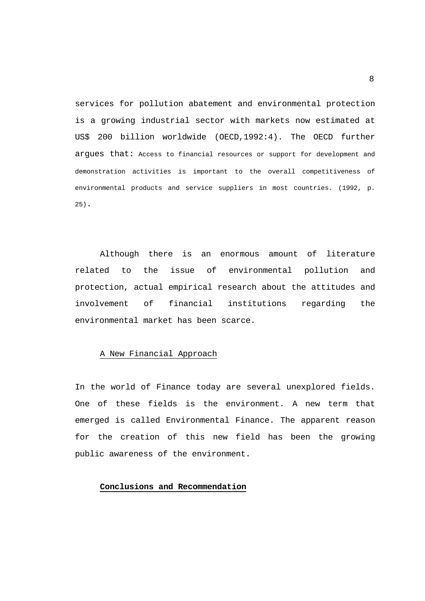services for pollution abatement and environmental protection is a growing industrial sector with markets now estimated at US\$ 200 billion worldwide (OECD,1992:4). The OECD further argues that: Access to financial resources or support for development and demonstration activities is important to the overall competitiveness of environmental products and service suppliers in most countries. (1992, p. 25).

 Although there is an enormous amount of literature related to the issue of environmental pollution and protection, actual empirical research about the attitudes and involvement of financial institutions regarding the environmental market has been scarce.

## A New Financial Approach

In the world of Finance today are several unexplored fields. One of these fields is the environment. A new term that emerged is called Environmental Finance. The apparent reason for the creation of this new field has been the growing public awareness of the environment.

#### **Conclusions and Recommendation**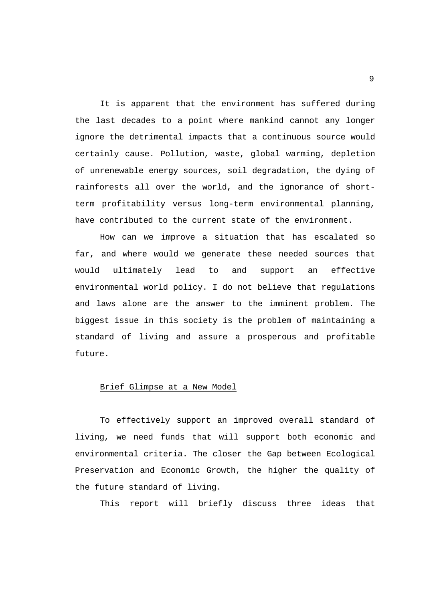It is apparent that the environment has suffered during the last decades to a point where mankind cannot any longer ignore the detrimental impacts that a continuous source would certainly cause. Pollution, waste, global warming, depletion of unrenewable energy sources, soil degradation, the dying of rainforests all over the world, and the ignorance of shortterm profitability versus long-term environmental planning, have contributed to the current state of the environment.

 How can we improve a situation that has escalated so far, and where would we generate these needed sources that would ultimately lead to and support an effective environmental world policy. I do not believe that regulations and laws alone are the answer to the imminent problem. The biggest issue in this society is the problem of maintaining a standard of living and assure a prosperous and profitable future.

#### Brief Glimpse at a New Model

 To effectively support an improved overall standard of living, we need funds that will support both economic and environmental criteria. The closer the Gap between Ecological Preservation and Economic Growth, the higher the quality of the future standard of living.

This report will briefly discuss three ideas that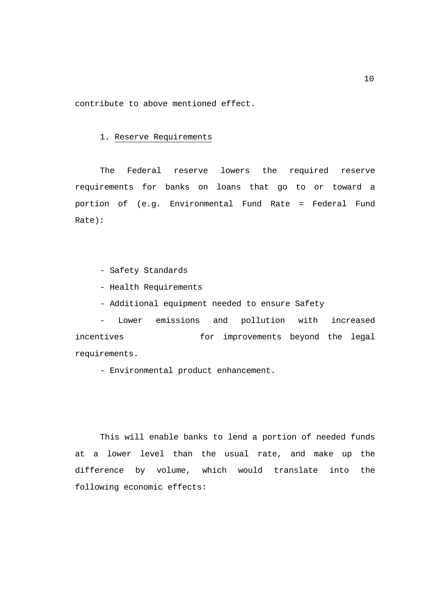contribute to above mentioned effect.

## 1. Reserve Requirements

 The Federal reserve lowers the required reserve requirements for banks on loans that go to or toward a portion of (e.g. Environmental Fund Rate = Federal Fund Rate):

- Safety Standards

- Health Requirements
- Additional equipment needed to ensure Safety

 - Lower emissions and pollution with increased incentives **for** improvements beyond the legal requirements.

- Environmental product enhancement.

 This will enable banks to lend a portion of needed funds at a lower level than the usual rate, and make up the difference by volume, which would translate into the following economic effects: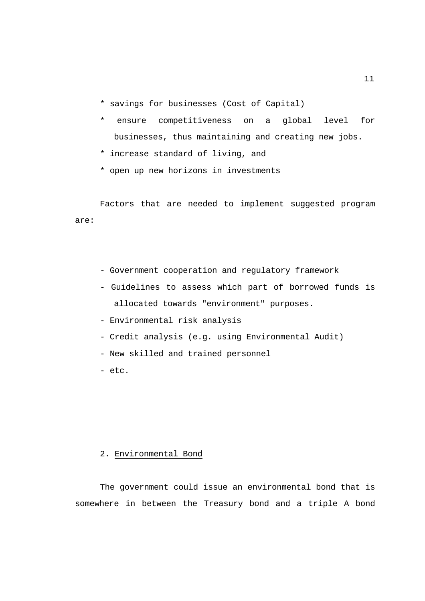- \* savings for businesses (Cost of Capital)
- ensure competitiveness on a global level for businesses, thus maintaining and creating new jobs.
- \* increase standard of living, and
- \* open up new horizons in investments

 Factors that are needed to implement suggested program are:

- Government cooperation and regulatory framework
- Guidelines to assess which part of borrowed funds is allocated towards "environment" purposes.
- Environmental risk analysis
- Credit analysis (e.g. using Environmental Audit)
- New skilled and trained personnel
- etc.

## 2. Environmental Bond

 The government could issue an environmental bond that is somewhere in between the Treasury bond and a triple A bond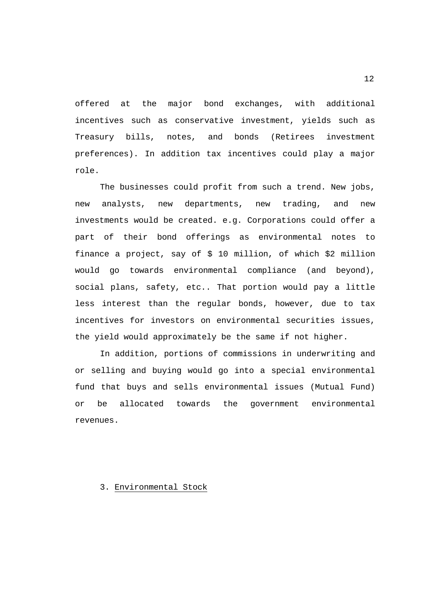offered at the major bond exchanges, with additional incentives such as conservative investment, yields such as Treasury bills, notes, and bonds (Retirees investment preferences). In addition tax incentives could play a major role.

 The businesses could profit from such a trend. New jobs, new analysts, new departments, new trading, and new investments would be created. e.g. Corporations could offer a part of their bond offerings as environmental notes to finance a project, say of \$ 10 million, of which \$2 million would go towards environmental compliance (and beyond), social plans, safety, etc.. That portion would pay a little less interest than the regular bonds, however, due to tax incentives for investors on environmental securities issues, the yield would approximately be the same if not higher.

 In addition, portions of commissions in underwriting and or selling and buying would go into a special environmental fund that buys and sells environmental issues (Mutual Fund) or be allocated towards the government environmental revenues.

3. Environmental Stock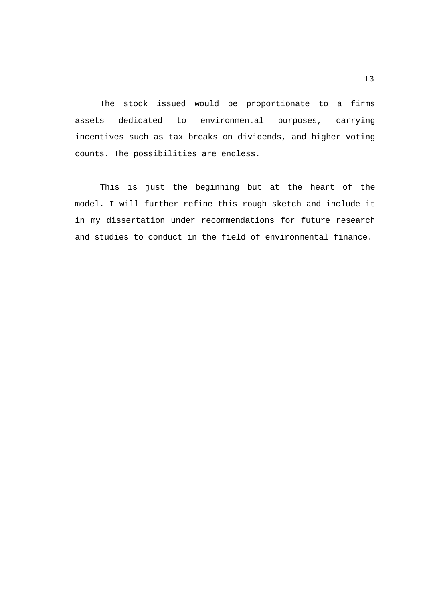The stock issued would be proportionate to a firms assets dedicated to environmental purposes, carrying incentives such as tax breaks on dividends, and higher voting counts. The possibilities are endless.

 This is just the beginning but at the heart of the model. I will further refine this rough sketch and include it in my dissertation under recommendations for future research and studies to conduct in the field of environmental finance.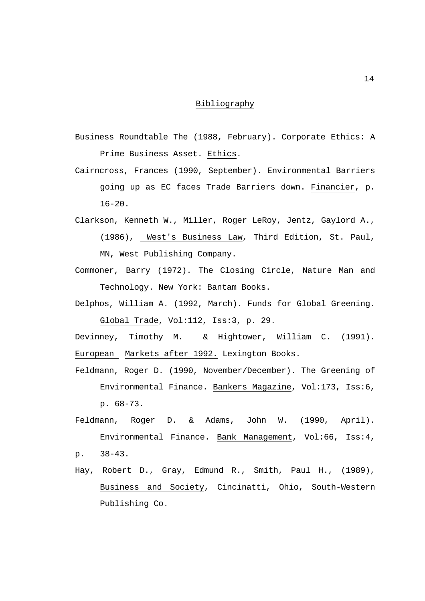## Bibliography

- Business Roundtable The (1988, February). Corporate Ethics: A Prime Business Asset. Ethics.
- Cairncross, Frances (1990, September). Environmental Barriers going up as EC faces Trade Barriers down. Financier, p.  $16-20$ .
- Clarkson, Kenneth W., Miller, Roger LeRoy, Jentz, Gaylord A., (1986), West's Business Law, Third Edition, St. Paul, MN, West Publishing Company.
- Commoner, Barry (1972). The Closing Circle, Nature Man and Technology. New York: Bantam Books.
- Delphos, William A. (1992, March). Funds for Global Greening. Global Trade, Vol:112, Iss:3, p. 29.
- Devinney, Timothy M. & Hightower, William C. (1991). European Markets after 1992. Lexington Books.
- Feldmann, Roger D. (1990, November/December). The Greening of Environmental Finance. Bankers Magazine, Vol:173, Iss:6, p. 68-73.
- Feldmann, Roger D. & Adams, John W. (1990, April). Environmental Finance. Bank Management, Vol:66, Iss:4, p. 38-43.
- Hay, Robert D., Gray, Edmund R., Smith, Paul H., (1989), Business and Society, Cincinatti, Ohio, South-Western Publishing Co.